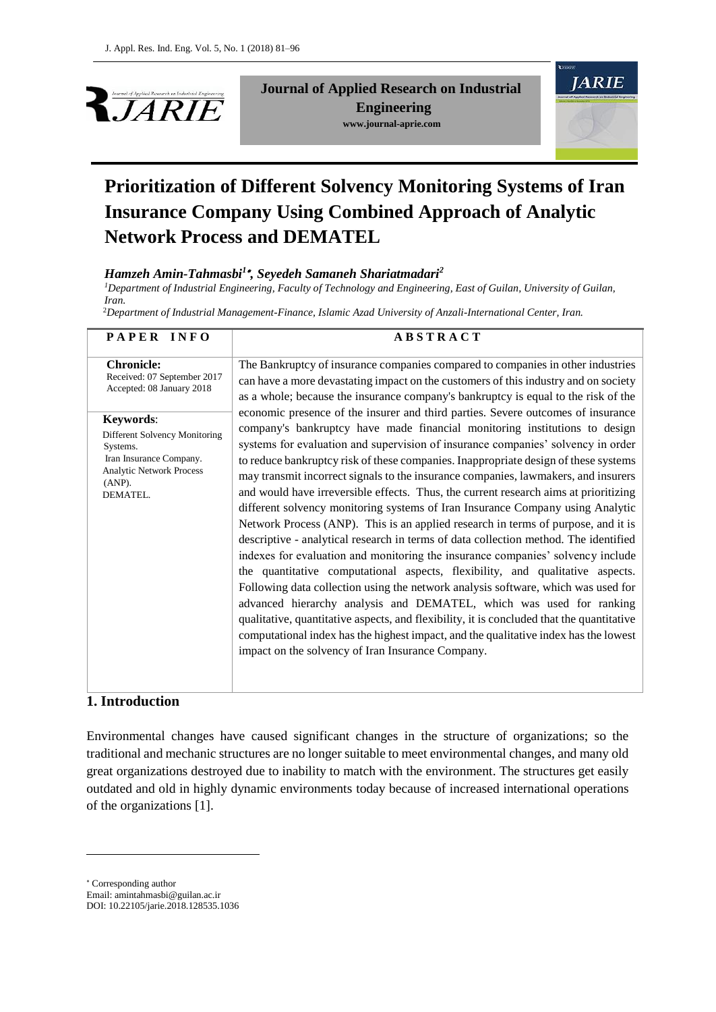



# **Prioritization of Different Solvency Monitoring Systems of Iran Insurance Company Using Combined Approach of Analytic Network Process and DEMATEL**

## *Hamzeh Amin-Tahmasbi<sup>1</sup> , Seyedeh Samaneh Shariatmadari<sup>2</sup>*

*<sup>1</sup>Department of Industrial Engineering, Faculty of Technology and Engineering, East of Guilan, University of Guilan, Iran.*

<sup>2</sup>*Department of Industrial Management-Finance, Islamic Azad University of Anzali-International Center, Iran.*

| PAPER INFO                                                                                                                                                                                                                     | <b>ABSTRACT</b>                                                                                                                                                                                                                                                                                                                                                                                                                                                                                                                                                                                                                                                                                                                                                                                                                                                                                                                                                                                                                                                                                                                                                                                                                                                                                                                                                                                                                                                                                                                                                                                                                  |
|--------------------------------------------------------------------------------------------------------------------------------------------------------------------------------------------------------------------------------|----------------------------------------------------------------------------------------------------------------------------------------------------------------------------------------------------------------------------------------------------------------------------------------------------------------------------------------------------------------------------------------------------------------------------------------------------------------------------------------------------------------------------------------------------------------------------------------------------------------------------------------------------------------------------------------------------------------------------------------------------------------------------------------------------------------------------------------------------------------------------------------------------------------------------------------------------------------------------------------------------------------------------------------------------------------------------------------------------------------------------------------------------------------------------------------------------------------------------------------------------------------------------------------------------------------------------------------------------------------------------------------------------------------------------------------------------------------------------------------------------------------------------------------------------------------------------------------------------------------------------------|
| <b>Chronicle:</b><br>Received: 07 September 2017<br>Accepted: 08 January 2018<br>Keywords:<br>Different Solvency Monitoring<br>Systems.<br>Iran Insurance Company.<br><b>Analytic Network Process</b><br>$(ANP)$ .<br>DEMATEL. | The Bankruptcy of insurance companies compared to companies in other industries<br>can have a more devastating impact on the customers of this industry and on society<br>as a whole; because the insurance company's bankruptcy is equal to the risk of the<br>economic presence of the insurer and third parties. Severe outcomes of insurance<br>company's bankruptcy have made financial monitoring institutions to design<br>systems for evaluation and supervision of insurance companies' solvency in order<br>to reduce bankruptcy risk of these companies. Inappropriate design of these systems<br>may transmit incorrect signals to the insurance companies, lawmakers, and insurers<br>and would have irreversible effects. Thus, the current research aims at prioritizing<br>different solvency monitoring systems of Iran Insurance Company using Analytic<br>Network Process (ANP). This is an applied research in terms of purpose, and it is<br>descriptive - analytical research in terms of data collection method. The identified<br>indexes for evaluation and monitoring the insurance companies' solvency include<br>the quantitative computational aspects, flexibility, and qualitative aspects.<br>Following data collection using the network analysis software, which was used for<br>advanced hierarchy analysis and DEMATEL, which was used for ranking<br>qualitative, quantitative aspects, and flexibility, it is concluded that the quantitative<br>computational index has the highest impact, and the qualitative index has the lowest<br>impact on the solvency of Iran Insurance Company. |
|                                                                                                                                                                                                                                |                                                                                                                                                                                                                                                                                                                                                                                                                                                                                                                                                                                                                                                                                                                                                                                                                                                                                                                                                                                                                                                                                                                                                                                                                                                                                                                                                                                                                                                                                                                                                                                                                                  |

## **1. Introduction**

1

Environmental changes have caused significant changes in the structure of organizations; so the traditional and mechanic structures are no longer suitable to meet environmental changes, and many old great organizations destroyed due to inability to match with the environment. The structures get easily outdated and old in highly dynamic environments today because of increased international operations of the organizations [1].

Corresponding author Email: amintahmasbi@guilan.ac.ir DOI: 10.22105/jarie.2018.128535.1036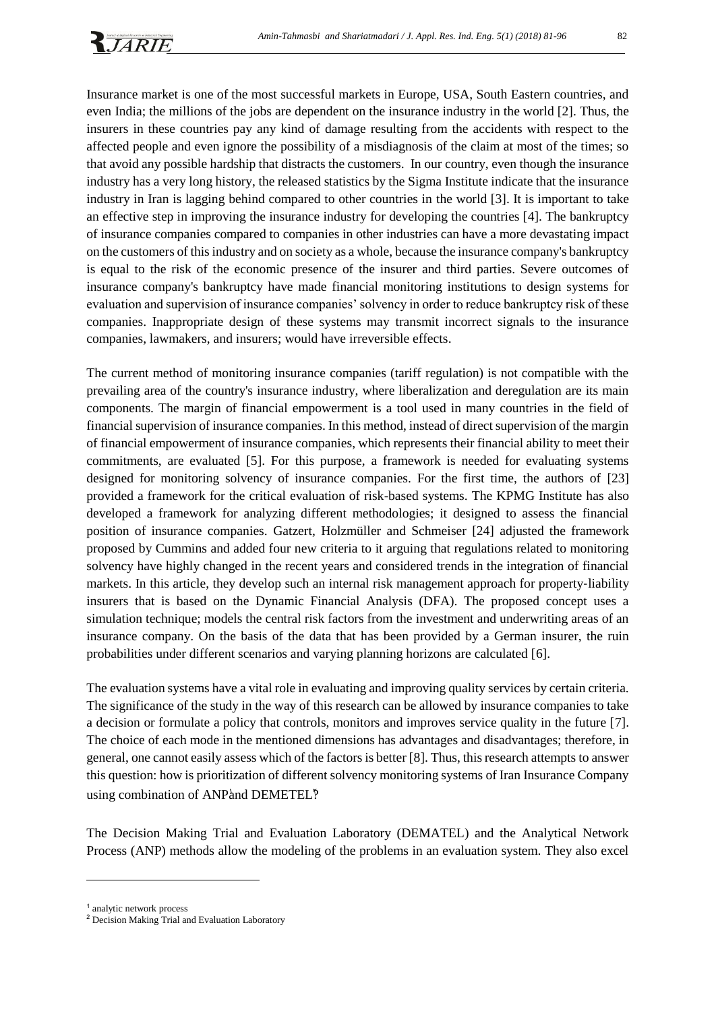

Insurance market is one of the most successful markets in Europe, USA, South Eastern countries, and even India; the millions of the jobs are dependent on the insurance industry in the world [2]. Thus, the insurers in these countries pay any kind of damage resulting from the accidents with respect to the affected people and even ignore the possibility of a misdiagnosis of the claim at most of the times; so that avoid any possible hardship that distracts the customers. In our country, even though the insurance industry has a very long history, the released statistics by the Sigma Institute indicate that the insurance industry in Iran is lagging behind compared to other countries in the world [3]. It is important to take an effective step in improving the insurance industry for developing the countries [4]. The bankruptcy of insurance companies compared to companies in other industries can have a more devastating impact on the customers of this industry and on society as a whole, because the insurance company's bankruptcy is equal to the risk of the economic presence of the insurer and third parties. Severe outcomes of insurance company's bankruptcy have made financial monitoring institutions to design systems for evaluation and supervision of insurance companies' solvency in order to reduce bankruptcy risk of these companies. Inappropriate design of these systems may transmit incorrect signals to the insurance companies, lawmakers, and insurers; would have irreversible effects.

The current method of monitoring insurance companies (tariff regulation) is not compatible with the prevailing area of the country's insurance industry, where liberalization and deregulation are its main components. The margin of financial empowerment is a tool used in many countries in the field of financial supervision of insurance companies. In this method, instead of direct supervision of the margin of financial empowerment of insurance companies, which represents their financial ability to meet their commitments, are evaluated [5]. For this purpose, a framework is needed for evaluating systems designed for monitoring solvency of insurance companies. For the first time, the authors of [23] provided a framework for the critical evaluation of risk-based systems. The KPMG Institute has also developed a framework for analyzing different methodologies; it designed to assess the financial position of insurance companies. Gatzert, Holzmüller and Schmeiser [24] adjusted the framework proposed by Cummins and added four new criteria to it arguing that regulations related to monitoring solvency have highly changed in the recent years and considered trends in the integration of financial markets. In this article, they develop such an internal risk management approach for property‐liability insurers that is based on the Dynamic Financial Analysis (DFA). The proposed concept uses a simulation technique; models the central risk factors from the investment and underwriting areas of an insurance company. On the basis of the data that has been provided by a German insurer, the ruin probabilities under different scenarios and varying planning horizons are calculated [6].

The evaluation systems have a vital role in evaluating and improving quality services by certain criteria. The significance of the study in the way of this research can be allowed by insurance companies to take a decision or formulate a policy that controls, monitors and improves service quality in the future [7]. The choice of each mode in the mentioned dimensions has advantages and disadvantages; therefore, in general, one cannot easily assess which of the factors is better [8]. Thus, this research attempts to answer this question: how is prioritization of different solvency monitoring systems of Iran Insurance Company using combination of ANPand DEMETEL?

The Decision Making Trial and Evaluation Laboratory (DEMATEL) and the Analytical Network Process (ANP) methods allow the modeling of the problems in an evaluation system. They also excel

-

<sup>1</sup> analytic network process

<sup>&</sup>lt;sup>2</sup> Decision Making Trial and Evaluation Laboratory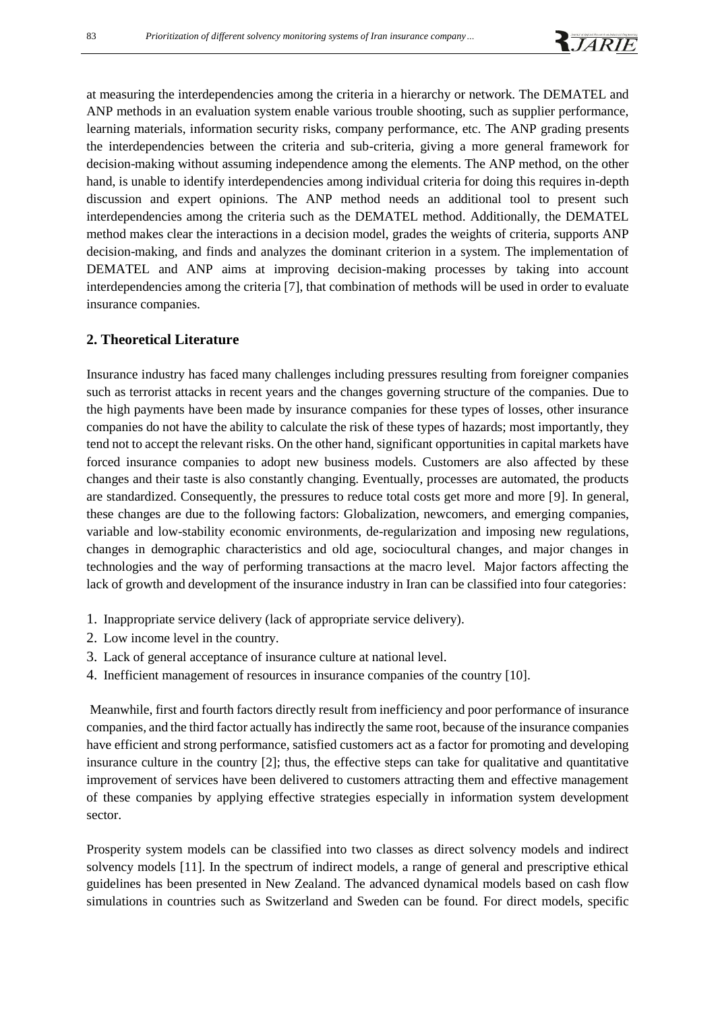at measuring the interdependencies among the criteria in a hierarchy or network. The DEMATEL and ANP methods in an evaluation system enable various trouble shooting, such as supplier performance, learning materials, information security risks, company performance, etc. The ANP grading presents the interdependencies between the criteria and sub-criteria, giving a more general framework for decision-making without assuming independence among the elements. The ANP method, on the other hand, is unable to identify interdependencies among individual criteria for doing this requires in-depth discussion and expert opinions. The ANP method needs an additional tool to present such interdependencies among the criteria such as the DEMATEL method. Additionally, the DEMATEL method makes clear the interactions in a decision model, grades the weights of criteria, supports ANP decision-making, and finds and analyzes the dominant criterion in a system. The implementation of DEMATEL and ANP aims at improving decision-making processes by taking into account interdependencies among the criteria [7], that combination of methods will be used in order to evaluate insurance companies.

#### **2. Theoretical Literature**

Insurance industry has faced many challenges including pressures resulting from foreigner companies such as terrorist attacks in recent years and the changes governing structure of the companies. Due to the high payments have been made by insurance companies for these types of losses, other insurance companies do not have the ability to calculate the risk of these types of hazards; most importantly, they tend not to accept the relevant risks. On the other hand, significant opportunities in capital markets have forced insurance companies to adopt new business models. Customers are also affected by these changes and their taste is also constantly changing. Eventually, processes are automated, the products are standardized. Consequently, the pressures to reduce total costs get more and more [9]. In general, these changes are due to the following factors: Globalization, newcomers, and emerging companies, variable and low-stability economic environments, de-regularization and imposing new regulations, changes in demographic characteristics and old age, sociocultural changes, and major changes in technologies and the way of performing transactions at the macro level. Major factors affecting the lack of growth and development of the insurance industry in Iran can be classified into four categories:

- 1. Inappropriate service delivery (lack of appropriate service delivery).
- 2. Low income level in the country.
- 3. Lack of general acceptance of insurance culture at national level.
- 4. Inefficient management of resources in insurance companies of the country [10].

Meanwhile, first and fourth factors directly result from inefficiency and poor performance of insurance companies, and the third factor actually has indirectly the same root, because of the insurance companies have efficient and strong performance, satisfied customers act as a factor for promoting and developing insurance culture in the country [2]; thus, the effective steps can take for qualitative and quantitative improvement of services have been delivered to customers attracting them and effective management of these companies by applying effective strategies especially in information system development sector.

Prosperity system models can be classified into two classes as direct solvency models and indirect solvency models [11]. In the spectrum of indirect models, a range of general and prescriptive ethical guidelines has been presented in New Zealand. The advanced dynamical models based on cash flow simulations in countries such as Switzerland and Sweden can be found. For direct models, specific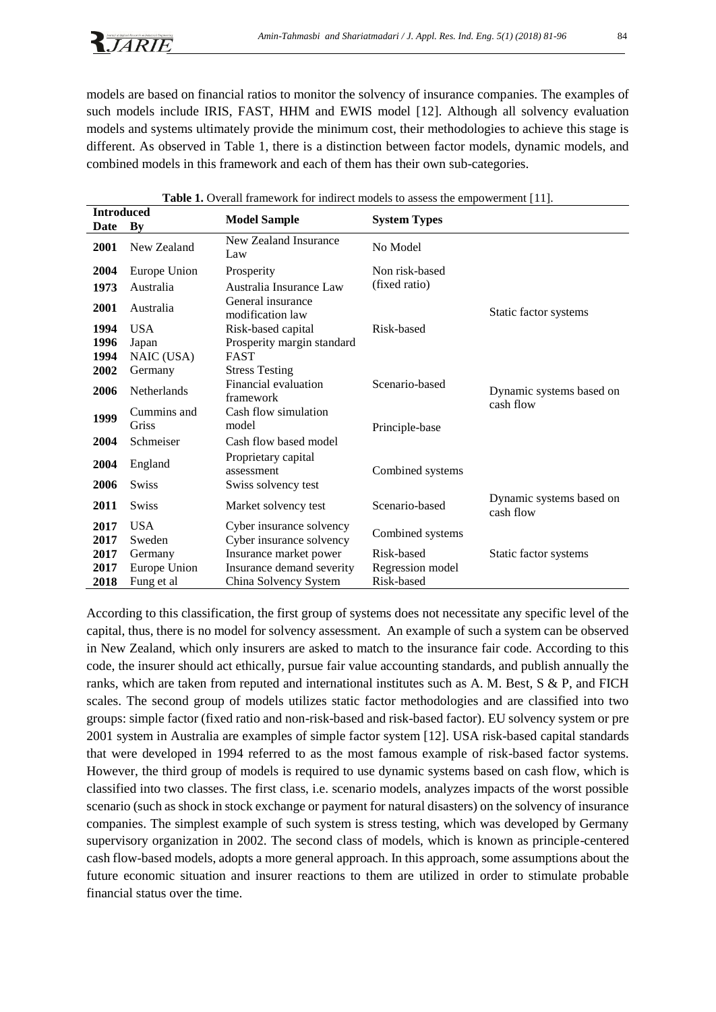models are based on financial ratios to monitor the solvency of insurance companies. The examples of such models include IRIS, FAST, HHM and EWIS model [12]. Although all solvency evaluation models and systems ultimately provide the minimum cost, their methodologies to achieve this stage is different. As observed in Table 1, there is a distinction between factor models, dynamic models, and combined models in this framework and each of them has their own sub-categories.

| <b>Introduced</b> |              | $\alpha$ . The contract matrix with the interfect models to assess the empowerment $\alpha$ . |                     |                                       |
|-------------------|--------------|-----------------------------------------------------------------------------------------------|---------------------|---------------------------------------|
| Date              | Bv           | <b>Model Sample</b>                                                                           | <b>System Types</b> |                                       |
| 2001              | New Zealand  | New Zealand Insurance<br>Law                                                                  | No Model            |                                       |
| 2004              | Europe Union | Prosperity                                                                                    | Non risk-based      |                                       |
| 1973              | Australia    | Australia Insurance Law                                                                       | (fixed ratio)       |                                       |
| 2001              | Australia    | General insurance<br>modification law                                                         |                     | Static factor systems                 |
| 1994              | <b>USA</b>   | Risk-based capital                                                                            | Risk-based          |                                       |
| 1996              | Japan        | Prosperity margin standard                                                                    |                     |                                       |
| 1994              | NAIC (USA)   | <b>FAST</b>                                                                                   |                     |                                       |
| 2002              | Germany      | <b>Stress Testing</b>                                                                         |                     |                                       |
| 2006              | Netherlands  | Financial evaluation<br>framework                                                             | Scenario-based      | Dynamic systems based on<br>cash flow |
| 1999              | Cummins and  | Cash flow simulation                                                                          |                     |                                       |
|                   | Griss        | model                                                                                         | Principle-base      |                                       |
| 2004              | Schmeiser    | Cash flow based model                                                                         |                     |                                       |
| 2004              | England      | Proprietary capital<br>assessment                                                             | Combined systems    |                                       |
| 2006              | <b>Swiss</b> | Swiss solvency test                                                                           |                     |                                       |
| 2011              | <b>Swiss</b> | Market solvency test                                                                          | Scenario-based      | Dynamic systems based on<br>cash flow |
| 2017              | <b>USA</b>   | Cyber insurance solvency                                                                      | Combined systems    |                                       |
| 2017              | Sweden       | Cyber insurance solvency                                                                      |                     |                                       |
| 2017              | Germany      | Insurance market power                                                                        | Risk-based          | Static factor systems                 |
| 2017              | Europe Union | Insurance demand severity                                                                     | Regression model    |                                       |
| 2018              | Fung et al   | China Solvency System                                                                         | Risk-based          |                                       |

**Table 1.** Overall framework for indirect models to assess the empowerment [11].

According to this classification, the first group of systems does not necessitate any specific level of the capital, thus, there is no model for solvency assessment. An example of such a system can be observed in New Zealand, which only insurers are asked to match to the insurance fair code. According to this code, the insurer should act ethically, pursue fair value accounting standards, and publish annually the ranks, which are taken from reputed and international institutes such as A. M. Best, S & P, and FICH scales. The second group of models utilizes static factor methodologies and are classified into two groups: simple factor (fixed ratio and non-risk-based and risk-based factor). EU solvency system or pre 2001 system in Australia are examples of simple factor system [12]. USA risk-based capital standards that were developed in 1994 referred to as the most famous example of risk-based factor systems. However, the third group of models is required to use dynamic systems based on cash flow, which is classified into two classes. The first class, i.e. scenario models, analyzes impacts of the worst possible scenario (such as shock in stock exchange or payment for natural disasters) on the solvency of insurance companies. The simplest example of such system is stress testing, which was developed by Germany supervisory organization in 2002. The second class of models, which is known as principle-centered cash flow-based models, adopts a more general approach. In this approach, some assumptions about the future economic situation and insurer reactions to them are utilized in order to stimulate probable financial status over the time.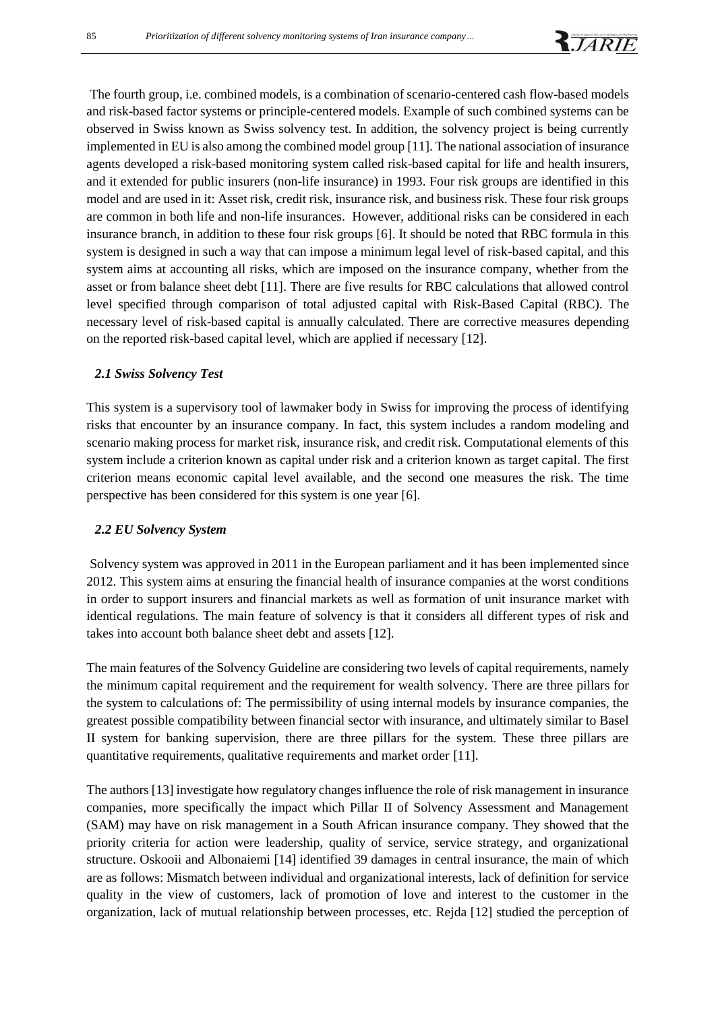

The fourth group, i.e. combined models, is a combination of scenario-centered cash flow-based models and risk-based factor systems or principle-centered models. Example of such combined systems can be observed in Swiss known as Swiss solvency test. In addition, the solvency project is being currently implemented in EU is also among the combined model group [11]. The national association of insurance agents developed a risk-based monitoring system called risk-based capital for life and health insurers, and it extended for public insurers (non-life insurance) in 1993. Four risk groups are identified in this model and are used in it: Asset risk, credit risk, insurance risk, and business risk. These four risk groups are common in both life and non-life insurances. However, additional risks can be considered in each insurance branch, in addition to these four risk groups [6]. It should be noted that RBC formula in this system is designed in such a way that can impose a minimum legal level of risk-based capital, and this system aims at accounting all risks, which are imposed on the insurance company, whether from the asset or from balance sheet debt [11]. There are five results for RBC calculations that allowed control level specified through comparison of total adjusted capital with Risk-Based Capital (RBC). The necessary level of risk-based capital is annually calculated. There are corrective measures depending on the reported risk-based capital level, which are applied if necessary [12].

#### *2.1 Swiss Solvency Test*

This system is a supervisory tool of lawmaker body in Swiss for improving the process of identifying risks that encounter by an insurance company. In fact, this system includes a random modeling and scenario making process for market risk, insurance risk, and credit risk. Computational elements of this system include a criterion known as capital under risk and a criterion known as target capital. The first criterion means economic capital level available, and the second one measures the risk. The time perspective has been considered for this system is one year [6].

#### *2.2 EU Solvency System*

Solvency system was approved in 2011 in the European parliament and it has been implemented since 2012. This system aims at ensuring the financial health of insurance companies at the worst conditions in order to support insurers and financial markets as well as formation of unit insurance market with identical regulations. The main feature of solvency is that it considers all different types of risk and takes into account both balance sheet debt and assets [12].

The main features of the Solvency Guideline are considering two levels of capital requirements, namely the minimum capital requirement and the requirement for wealth solvency. There are three pillars for the system to calculations of: The permissibility of using internal models by insurance companies, the greatest possible compatibility between financial sector with insurance, and ultimately similar to Basel II system for banking supervision, there are three pillars for the system. These three pillars are quantitative requirements, qualitative requirements and market order [11].

The authors [13] investigate how regulatory changes influence the role of risk management in insurance companies, more specifically the impact which Pillar II of Solvency Assessment and Management (SAM) may have on risk management in a South African insurance company. They showed that the priority criteria for action were leadership, quality of service, service strategy, and organizational structure. Oskooii and Albonaiemi [14] identified 39 damages in central insurance, the main of which are as follows: Mismatch between individual and organizational interests, lack of definition for service quality in the view of customers, lack of promotion of love and interest to the customer in the organization, lack of mutual relationship between processes, etc. Rejda [12] studied the perception of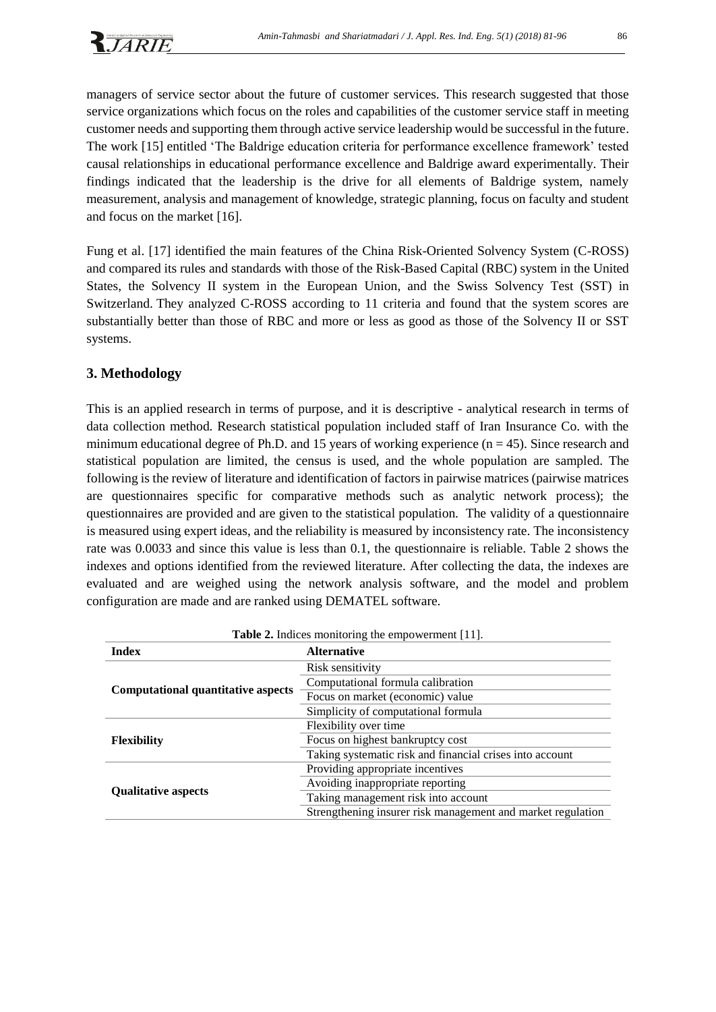managers of service sector about the future of customer services. This research suggested that those service organizations which focus on the roles and capabilities of the customer service staff in meeting customer needs and supporting them through active service leadership would be successful in the future. The work [15] entitled 'The Baldrige education criteria for performance excellence framework' tested causal relationships in educational performance excellence and Baldrige award experimentally. Their findings indicated that the leadership is the drive for all elements of Baldrige system, namely measurement, analysis and management of knowledge, strategic planning, focus on faculty and student and focus on the market [16].

Fung et al. [17] identified the main features of the China Risk-Oriented Solvency System (C-ROSS) and compared its rules and standards with those of the Risk-Based Capital (RBC) system in the United States, the Solvency II system in the European Union, and the Swiss Solvency Test (SST) in Switzerland. They analyzed C-ROSS according to 11 criteria and found that the system scores are substantially better than those of RBC and more or less as good as those of the Solvency II or SST systems.

# **3. Methodology**

This is an applied research in terms of purpose, and it is descriptive - analytical research in terms of data collection method. Research statistical population included staff of Iran Insurance Co. with the minimum educational degree of Ph.D. and 15 years of working experience ( $n = 45$ ). Since research and statistical population are limited, the census is used, and the whole population are sampled. The following is the review of literature and identification of factors in pairwise matrices (pairwise matrices are questionnaires specific for comparative methods such as analytic network process); the questionnaires are provided and are given to the statistical population. The validity of a questionnaire is measured using expert ideas, and the reliability is measured by inconsistency rate. The inconsistency rate was 0.0033 and since this value is less than 0.1, the questionnaire is reliable. Table 2 shows the indexes and options identified from the reviewed literature. After collecting the data, the indexes are evaluated and are weighed using the network analysis software, and the model and problem configuration are made and are ranked using DEMATEL software.

| <b>Table 2.</b> Indices monitoring the empowerment [11]. |                                                             |  |
|----------------------------------------------------------|-------------------------------------------------------------|--|
| <b>Index</b>                                             | <b>Alternative</b>                                          |  |
|                                                          | Risk sensitivity                                            |  |
|                                                          | Computational formula calibration                           |  |
| <b>Computational quantitative aspects</b>                | Focus on market (economic) value                            |  |
|                                                          | Simplicity of computational formula                         |  |
|                                                          | Flexibility over time                                       |  |
| <b>Flexibility</b>                                       | Focus on highest bankruptcy cost                            |  |
|                                                          | Taking systematic risk and financial crises into account    |  |
|                                                          | Providing appropriate incentives                            |  |
| <b>Qualitative aspects</b>                               | Avoiding inappropriate reporting                            |  |
|                                                          | Taking management risk into account                         |  |
|                                                          | Strengthening insurer risk management and market regulation |  |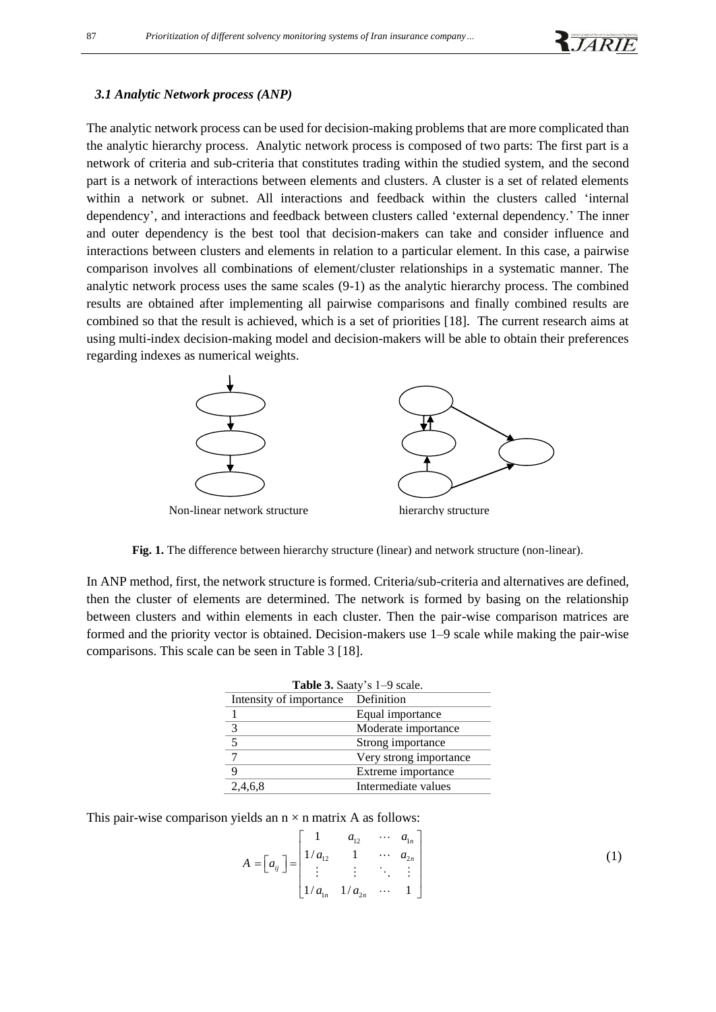

#### *3.1 Analytic Network process (ANP)*

The analytic network process can be used for decision-making problems that are more complicated than the analytic hierarchy process. Analytic network process is composed of two parts: The first part is a network of criteria and sub-criteria that constitutes trading within the studied system, and the second part is a network of interactions between elements and clusters. A cluster is a set of related elements within a network or subnet. All interactions and feedback within the clusters called 'internal dependency', and interactions and feedback between clusters called 'external dependency.' The inner and outer dependency is the best tool that decision-makers can take and consider influence and interactions between clusters and elements in relation to a particular element. In this case, a pairwise comparison involves all combinations of element/cluster relationships in a systematic manner. The analytic network process uses the same scales (9-1) as the analytic hierarchy process. The combined results are obtained after implementing all pairwise comparisons and finally combined results are combined so that the result is achieved, which is a set of priorities [18]. The current research aims at using multi-index decision-making model and decision-makers will be able to obtain their preferences regarding indexes as numerical weights.



**Fig. 1.** The difference between hierarchy structure (linear) and network structure (non-linear).

In ANP method, first, the network structure is formed. Criteria/sub-criteria and alternatives are defined, then the cluster of elements are determined. The network is formed by basing on the relationship between clusters and within elements in each cluster. Then the pair-wise comparison matrices are formed and the priority vector is obtained. Decision-makers use 1–9 scale while making the pair-wise comparisons. This scale can be seen in Table 3 [18].

| Table 3. Saaty's 1–9 scale. |                        |  |  |
|-----------------------------|------------------------|--|--|
| Intensity of importance     | Definition             |  |  |
|                             | Equal importance       |  |  |
| 3                           | Moderate importance    |  |  |
| $\overline{5}$              | Strong importance      |  |  |
|                             | Very strong importance |  |  |
|                             | Extreme importance     |  |  |
| 2,4,6,8                     | Intermediate values    |  |  |

This pair-wise comparison yields an  $n \times n$  matrix A as follows:<br> $\begin{bmatrix} 1 & a_{12} & \cdots & a_{1n} \end{bmatrix}$ 

$$
A = \begin{bmatrix} a_{ij} \end{bmatrix} = \begin{bmatrix} 1 & a_{12} & \cdots & a_{1n} \\ 1/a_{12} & 1 & \cdots & a_{2n} \\ \vdots & \vdots & \ddots & \vdots \\ 1/a_{1n} & 1/a_{2n} & \cdots & 1 \end{bmatrix}
$$
 (1)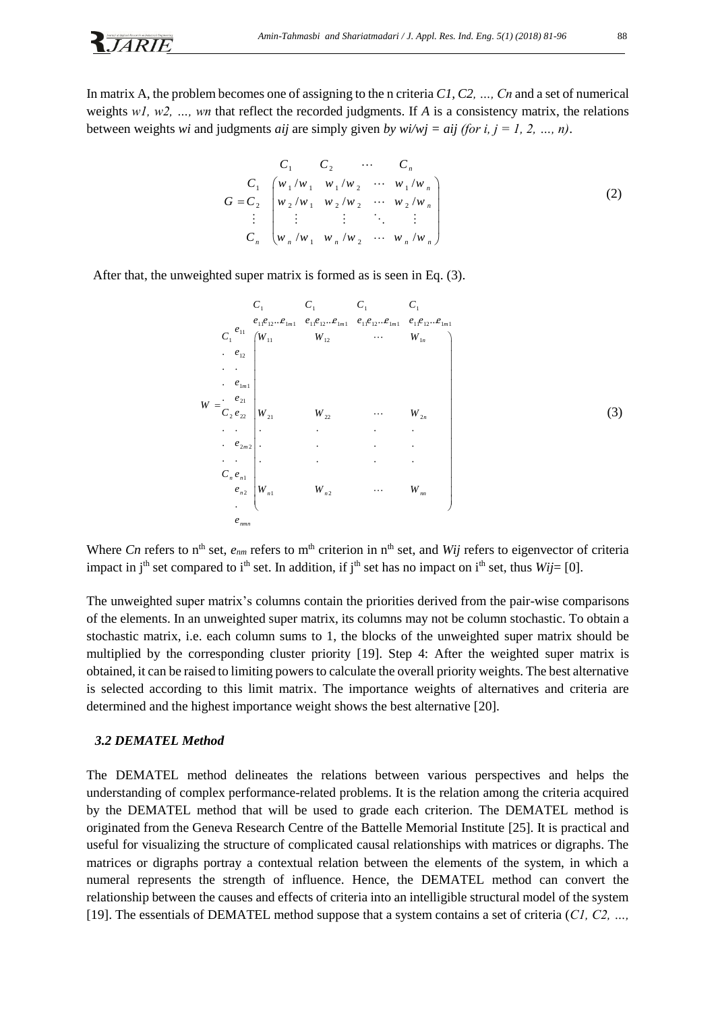In matrix A, the problem becomes one of assigning to the n criteria *C1, C2, …, Cn* and a set of numerical weights *w1, w2, …, wn* that reflect the recorded judgments. If *A* is a consistency matrix, the relations between weights *wi* and judgments *aij* are simply given *by wi/wj = aij (for i, j = 1, 2, …, n)*.

$$
G = C_1 \begin{bmatrix} C_1 & C_2 & \cdots & C_n \\ w_1/w_1 & w_1/w_2 & \cdots & w_1/w_n \\ w_2/w_1 & w_2/w_2 & \cdots & w_2/w_n \\ \vdots & \vdots & \vdots & \ddots & \vdots \\ w_n/w_1 & w_n/w_2 & \cdots & w_n/w_n \end{bmatrix}
$$
 (2)

After that, the unweighted super matrix is formed as is seen in Eq. (3).

|   |                                 |                                        | $C_1$              | $C_1$ $C_1$ |                                                                                                     | $C_{1}$  |
|---|---------------------------------|----------------------------------------|--------------------|-------------|-----------------------------------------------------------------------------------------------------|----------|
|   |                                 | $e_{\scriptscriptstyle 11}$            |                    |             | $e_{11}e_{12}e_{1m1} \quad e_{11}e_{12}e_{1m1} \quad e_{11}e_{12}e_{1m1} \quad e_{11}e_{12}e_{1m1}$ |          |
|   | $C_1$                           |                                        | $(W_{11})$         | $W_{12}$    | $\cdots$ $W_{1n}$                                                                                   |          |
|   |                                 | $e_{12}$                               |                    |             |                                                                                                     |          |
|   |                                 |                                        |                    |             |                                                                                                     |          |
|   |                                 | . $\boldsymbol{e}_{1m1}$<br>. $e_{21}$ |                    |             |                                                                                                     |          |
| W |                                 | $C_{2}e_{22}$                          | $ W_{21} $         | $W_{22}$    | $\ldots$                                                                                            | $W_{2n}$ |
|   | $\epsilon \rightarrow \epsilon$ |                                        |                    |             |                                                                                                     |          |
|   |                                 | $\cdot \quad e_{2m2}$ .                |                    |             |                                                                                                     |          |
|   |                                 |                                        |                    | $\bullet$   |                                                                                                     | $\cdot$  |
|   |                                 | $C_n e_{n1}$                           |                    |             |                                                                                                     |          |
|   |                                 | $e_{n2}$<br>$\bullet$                  | $\big W_{n1}\big $ | $W_{n2}$    | $\cdots$                                                                                            | $W_{m}$  |
|   |                                 | $e_{_{mm}}$                            |                    |             |                                                                                                     |          |

Where *Cn* refers to n<sup>th</sup> set,  $e_{nm}$  refers to m<sup>th</sup> criterion in n<sup>th</sup> set, and *Wij* refers to eigenvector of criteria impact in j<sup>th</sup> set compared to i<sup>th</sup> set. In addition, if j<sup>th</sup> set has no impact on i<sup>th</sup> set, thus *Wij*= [0].

The unweighted super matrix's columns contain the priorities derived from the pair-wise comparisons of the elements. In an unweighted super matrix, its columns may not be column stochastic. To obtain a stochastic matrix, i.e. each column sums to 1, the blocks of the unweighted super matrix should be multiplied by the corresponding cluster priority [19]. Step 4: After the weighted super matrix is obtained, it can be raised to limiting powers to calculate the overall priority weights. The best alternative is selected according to this limit matrix. The importance weights of alternatives and criteria are determined and the highest importance weight shows the best alternative [20].

#### *3.2 DEMATEL Method*

**R**JARIE

The DEMATEL method delineates the relations between various perspectives and helps the understanding of complex performance-related problems. It is the relation among the criteria acquired by the DEMATEL method that will be used to grade each criterion. The DEMATEL method is originated from the Geneva Research Centre of the Battelle Memorial Institute [25]. It is practical and useful for visualizing the structure of complicated causal relationships with matrices or digraphs. The matrices or digraphs portray a contextual relation between the elements of the system, in which a numeral represents the strength of influence. Hence, the DEMATEL method can convert the relationship between the causes and effects of criteria into an intelligible structural model of the system [19]. The essentials of DEMATEL method suppose that a system contains a set of criteria (*C1, C2, …,*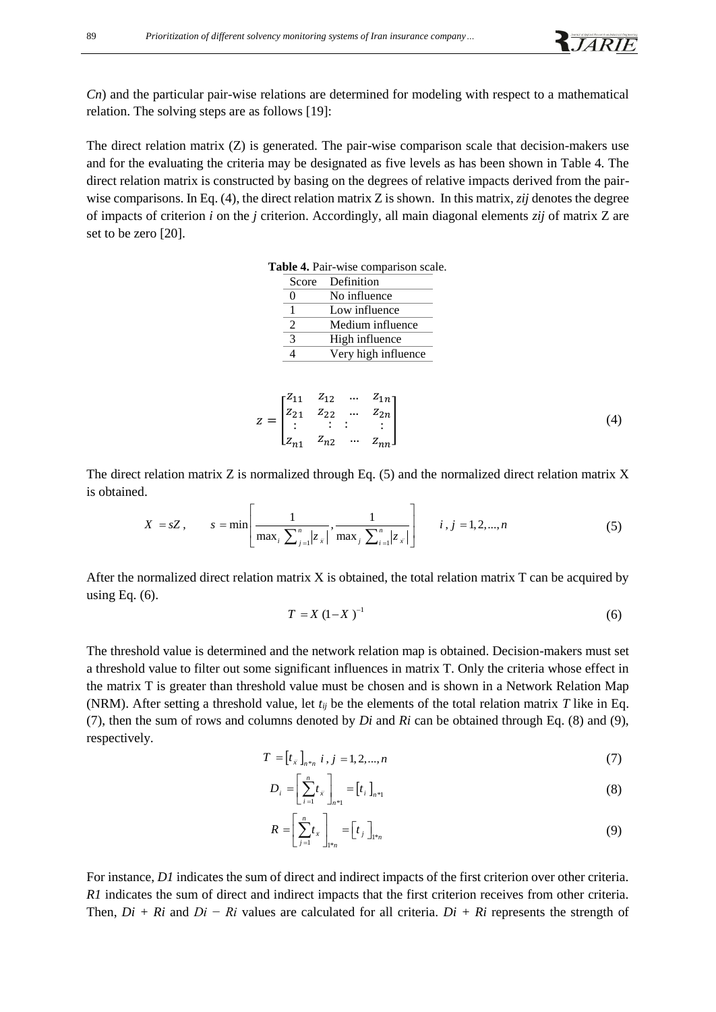*Cn*) and the particular pair-wise relations are determined for modeling with respect to a mathematical relation. The solving steps are as follows [19]:

The direct relation matrix  $(Z)$  is generated. The pair-wise comparison scale that decision-makers use and for the evaluating the criteria may be designated as five levels as has been shown in Table 4. The direct relation matrix is constructed by basing on the degrees of relative impacts derived from the pairwise comparisons. In Eq. (4), the direct relation matrix Z is shown. In this matrix, *zij* denotes the degree of impacts of criterion *i* on the *j* criterion. Accordingly, all main diagonal elements *zij* of matrix Z are set to be zero [20].

| Score                       | Definition          |
|-----------------------------|---------------------|
| $\mathbf{\Omega}$           | No influence        |
|                             |                     |
|                             | Low influence       |
| $\mathcal{D}_{\mathcal{L}}$ | Medium influence    |
| 3                           | High influence      |
|                             | Very high influence |
|                             |                     |

$$
z = \begin{bmatrix} z_{11} & z_{12} & \dots & z_{1n} \\ z_{21} & z_{22} & \dots & z_{2n} \\ \vdots & \vdots & \vdots & \vdots \\ z_{n1} & z_{n2} & \dots & z_{nn} \end{bmatrix}
$$
 (4)

The direct relation matrix Z is normalized through Eq. (5) and the normalized direct relation matrix X is obtained.<br>  $\begin{bmatrix} 1 & 1 & 1 \end{bmatrix}$  is in 1.2, and  $\begin{bmatrix} 0 & 0 \end{bmatrix}$ is obtained.

d.  
\n
$$
X = sZ
$$
,  $s = \min \left[ \frac{1}{\max_{i} \sum_{j=1}^{n} |z_{ij}|}, \frac{1}{\max_{j} \sum_{i=1}^{n} |z_{ij}|} \right]$   $i, j = 1, 2, ..., n$  (5)

After the normalized direct relation matrix X is obtained, the total relation matrix T can be acquired by using Eq.  $(6)$ .

$$
T = X (1 - X)^{-1}
$$
 (6)

The threshold value is determined and the network relation map is obtained. Decision-makers must set a threshold value to filter out some significant influences in matrix T. Only the criteria whose effect in the matrix T is greater than threshold value must be chosen and is shown in a Network Relation Map (NRM). After setting a threshold value, let  $t_{ij}$  be the elements of the total relation matrix *T* like in Eq. (7), then the sum of rows and columns denoted by *Di* and *Ri* can be obtained through Eq. (8) and (9), respectively.

$$
T = [t_{\bar{x}}]_{n \ast_n} \ i, j = 1, 2, ..., n \tag{7}
$$

$$
D_i = \left[\sum_{i=1}^n t_{i}\right]_{n+1} = [t_i]_{n+1}
$$
\n(8)

$$
R = \left[\sum_{j=1}^{n} t_{\tilde{x}}\right]_{\mathbb{I}^{*n}} = \left[t_{j}\right]_{\mathbb{I}^{*n}} \tag{9}
$$

For instance, *D1* indicates the sum of direct and indirect impacts of the first criterion over other criteria. *R1* indicates the sum of direct and indirect impacts that the first criterion receives from other criteria. Then, *Di + Ri* and *Di − Ri* values are calculated for all criteria. *Di + Ri* represents the strength of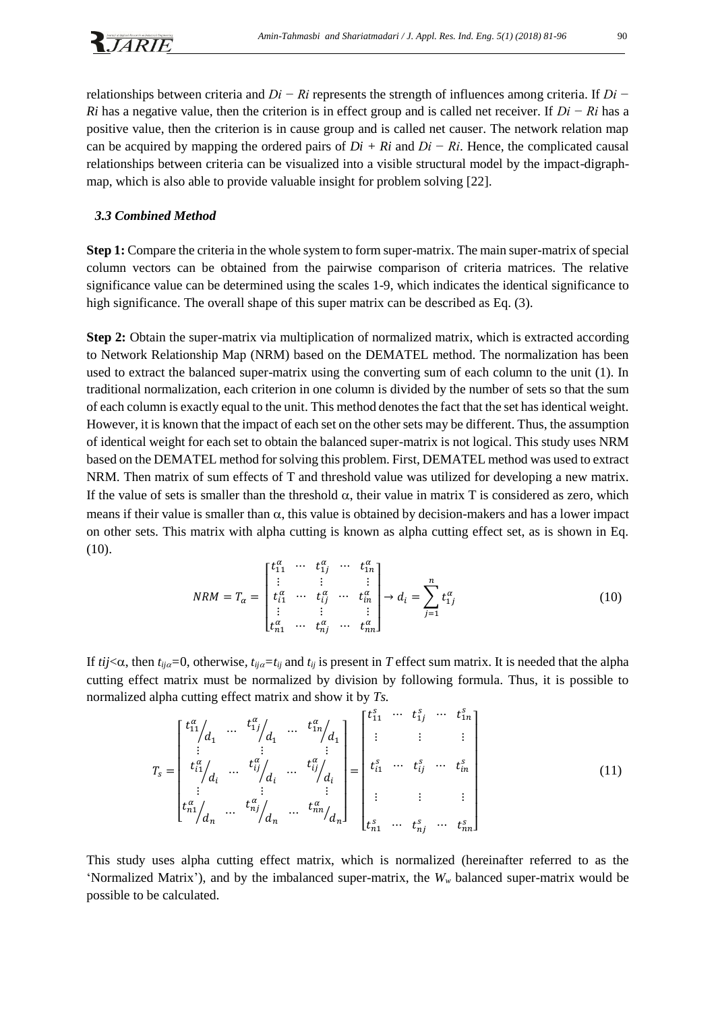relationships between criteria and *Di − Ri* represents the strength of influences among criteria. If *Di − Ri* has a negative value, then the criterion is in effect group and is called net receiver. If *Di − Ri* has a positive value, then the criterion is in cause group and is called net causer. The network relation map can be acquired by mapping the ordered pairs of *Di + Ri* and *Di − Ri*. Hence, the complicated causal relationships between criteria can be visualized into a visible structural model by the impact-digraphmap, which is also able to provide valuable insight for problem solving [22].

#### *3.3 Combined Method*

**Step 1:** Compare the criteria in the whole system to form super-matrix. The main super-matrix of special column vectors can be obtained from the pairwise comparison of criteria matrices. The relative significance value can be determined using the scales 1-9, which indicates the identical significance to high significance. The overall shape of this super matrix can be described as Eq. (3).

**Step 2:** Obtain the super-matrix via multiplication of normalized matrix, which is extracted according to Network Relationship Map (NRM) based on the DEMATEL method. The normalization has been used to extract the balanced super-matrix using the converting sum of each column to the unit (1). In traditional normalization, each criterion in one column is divided by the number of sets so that the sum of each column is exactly equal to the unit. This method denotes the fact that the set has identical weight. However, it is known that the impact of each set on the other sets may be different. Thus, the assumption of identical weight for each set to obtain the balanced super-matrix is not logical. This study uses NRM based on the DEMATEL method for solving this problem. First, DEMATEL method was used to extract NRM. Then matrix of sum effects of T and threshold value was utilized for developing a new matrix. If the value of sets is smaller than the threshold  $\alpha$ , their value in matrix T is considered as zero, which means if their value is smaller than  $\alpha$ , this value is obtained by decision-makers and has a lower impact on other sets. This matrix with alpha cutting is known as alpha cutting effect set, as is shown in Eq. (10).

$$
NRM = T_{\alpha} = \begin{bmatrix} t_{11}^{\alpha} & \cdots & t_{1j}^{\alpha} & \cdots & t_{1n}^{\alpha} \\ \vdots & & \vdots & & \vdots \\ t_{i1}^{\alpha} & \cdots & t_{ij}^{\alpha} & \cdots & t_{in}^{\alpha} \\ \vdots & & \vdots & & \vdots \\ t_{n1}^{\alpha} & \cdots & t_{nj}^{\alpha} & \cdots & t_{nn}^{\alpha} \end{bmatrix} \rightarrow d_{i} = \sum_{j=1}^{n} t_{1j}^{\alpha}
$$
(10)

If  $tij<\infty$ , then  $t_{ij\alpha}=0$ , otherwise,  $t_{ij\alpha}=t_{ij}$  and  $t_{ij}$  is present in *T* effect sum matrix. It is needed that the alpha cutting effect matrix must be normalized by division by following formula. Thus, it is possible to normalized alpha cutting effect matrix and show it by *Ts.*

$$
T_{s} = \begin{bmatrix} t_{11}^{\alpha} / d_{1} & \cdots & t_{1j}^{\alpha} / d_{1} & \cdots & t_{1n}^{\alpha} / d_{1} \\ \vdots & \vdots & & \vdots \\ t_{11}^{\alpha} / d_{i} & \cdots & t_{ij}^{\alpha} / d_{i} & \cdots & t_{ij}^{\alpha} / d_{i} \\ \vdots & & \vdots & & \vdots \\ t_{n1}^{\alpha} / d_{n} & \cdots & t_{nj}^{\alpha} / d_{n} & \cdots & t_{nn}^{\alpha} / d_{n} \end{bmatrix} = \begin{bmatrix} t_{11}^{s} & \cdots & t_{1j}^{s} & \cdots & t_{1n}^{s} \\ \vdots & \vdots & & \vdots \\ t_{i1}^{s} & \cdots & t_{ij}^{s} & \cdots & t_{in}^{s} \\ \vdots & & \vdots & & \vdots \\ t_{n1}^{s} & \cdots & t_{nj}^{s} & \cdots & t_{nn}^{s} \end{bmatrix}
$$
(11)

This study uses alpha cutting effect matrix, which is normalized (hereinafter referred to as the 'Normalized Matrix'), and by the imbalanced super-matrix, the *W<sup>w</sup>* balanced super-matrix would be possible to be calculated.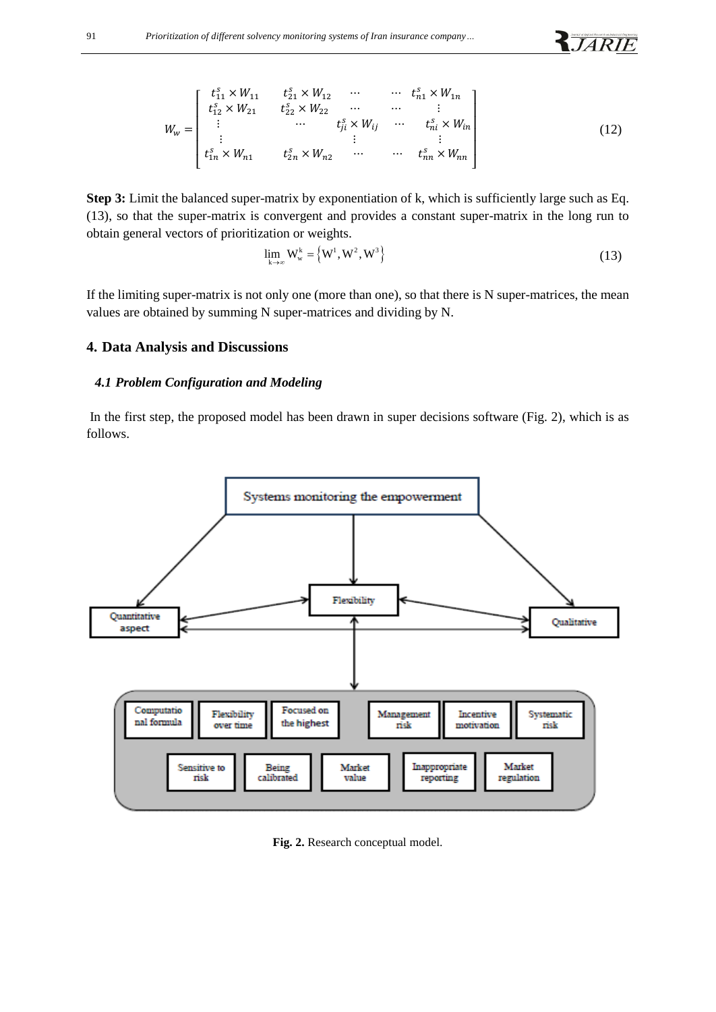$$
W_{w} = \begin{bmatrix} t_{11}^{s} \times W_{11} & t_{21}^{s} \times W_{12} & \cdots & \cdots & t_{n1}^{s} \times W_{1n} \\ t_{12}^{s} \times W_{21} & t_{22}^{s} \times W_{22} & \cdots & \cdots & \vdots \\ \vdots & \cdots & t_{j}^{s} \times W_{ij} & \cdots & t_{ni}^{s} \times W_{in} \\ \vdots & \vdots & \vdots & \vdots \\ t_{1n}^{s} \times W_{n1} & t_{2n}^{s} \times W_{n2} & \cdots & \cdots & t_{nn}^{s} \times W_{nn} \end{bmatrix}
$$
(12)

**Step 3:** Limit the balanced super-matrix by exponentiation of k, which is sufficiently large such as Eq. (13), so that the super-matrix is convergent and provides a constant super-matrix in the long run to obtain general vectors of prioritization or weights.

$$
\lim_{k \to \infty} W_w^k = \left\{ W^1, W^2, W^3 \right\} \tag{13}
$$

**R**JARIE

If the limiting super-matrix is not only one (more than one), so that there is N super-matrices, the mean values are obtained by summing N super-matrices and dividing by N.

#### **4. Data Analysis and Discussions**

### *4.1 Problem Configuration and Modeling*

In the first step, the proposed model has been drawn in super decisions software (Fig. 2), which is as follows.



**Fig. 2.** Research conceptual model.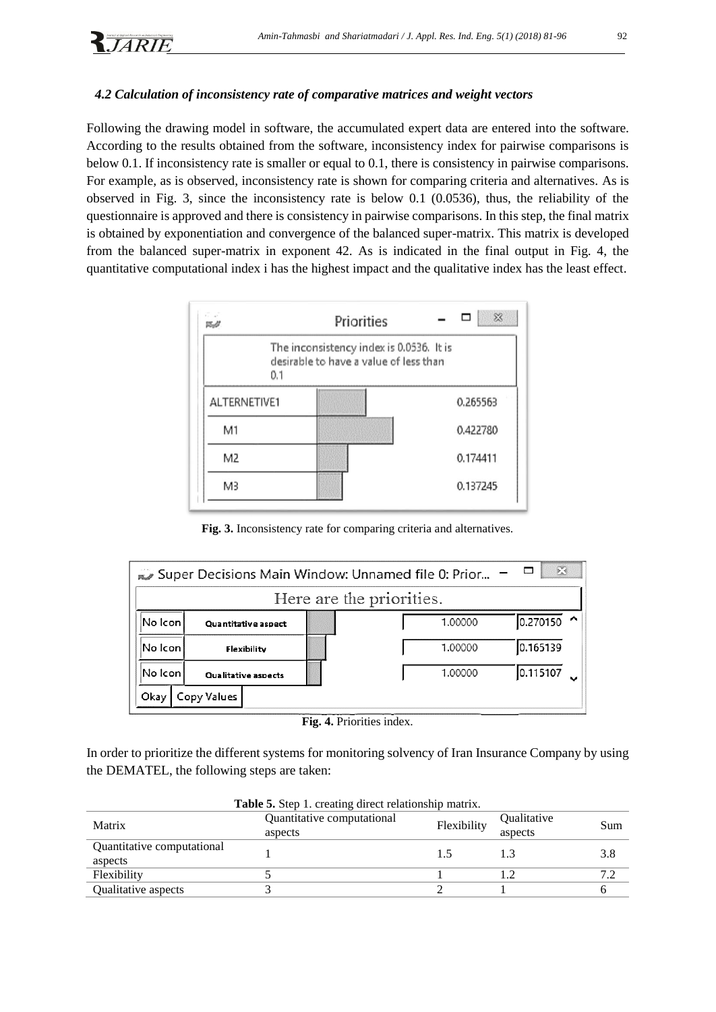# *4.2 Calculation of inconsistency rate of comparative matrices and weight vectors*

Following the drawing model in software, the accumulated expert data are entered into the software. According to the results obtained from the software, inconsistency index for pairwise comparisons is below 0.1. If inconsistency rate is smaller or equal to 0.1, there is consistency in pairwise comparisons. For example, as is observed, inconsistency rate is shown for comparing criteria and alternatives. As is observed in Fig. 3, since the inconsistency rate is below 0.1 (0.0536), thus, the reliability of the questionnaire is approved and there is consistency in pairwise comparisons. In this step, the final matrix is obtained by exponentiation and convergence of the balanced super-matrix. This matrix is developed from the balanced super-matrix in exponent 42. As is indicated in the final output in Fig. 4, the quantitative computational index i has the highest impact and the qualitative index has the least effect.



**Fig. 3.** Inconsistency rate for comparing criteria and alternatives.

|                         | $\Sigma$<br>Super Decisions Main Window: Unnamed file 0: Prior |   |                     |   |  |  |
|-------------------------|----------------------------------------------------------------|---|---------------------|---|--|--|
|                         | Here are the priorities.                                       |   |                     |   |  |  |
| No Icon                 | 0.270150<br>1.00000                                            | ⌒ |                     |   |  |  |
| No Icon <br>Flexibility |                                                                |   | 0.165139<br>1.00000 |   |  |  |
| lNo Iconl               | <b>Oualitative aspects</b>                                     |   | 0.115107<br>1.00000 | ◡ |  |  |
| Okay                    | Copy Values                                                    |   |                     |   |  |  |

**Fig. 4.** Priorities index.

In order to prioritize the different systems for monitoring solvency of Iran Insurance Company by using the DEMATEL, the following steps are taken:

| <b>Table 5.</b> Step 1. creating direct relationship matrix.                             |  |  |  |     |  |
|------------------------------------------------------------------------------------------|--|--|--|-----|--|
| Quantitative computational<br>Qualitative<br>Flexibility<br>Matrix<br>aspects<br>aspects |  |  |  |     |  |
| Quantitative computational<br>aspects                                                    |  |  |  | 3.8 |  |
| Flexibility                                                                              |  |  |  |     |  |
| Qualitative aspects                                                                      |  |  |  |     |  |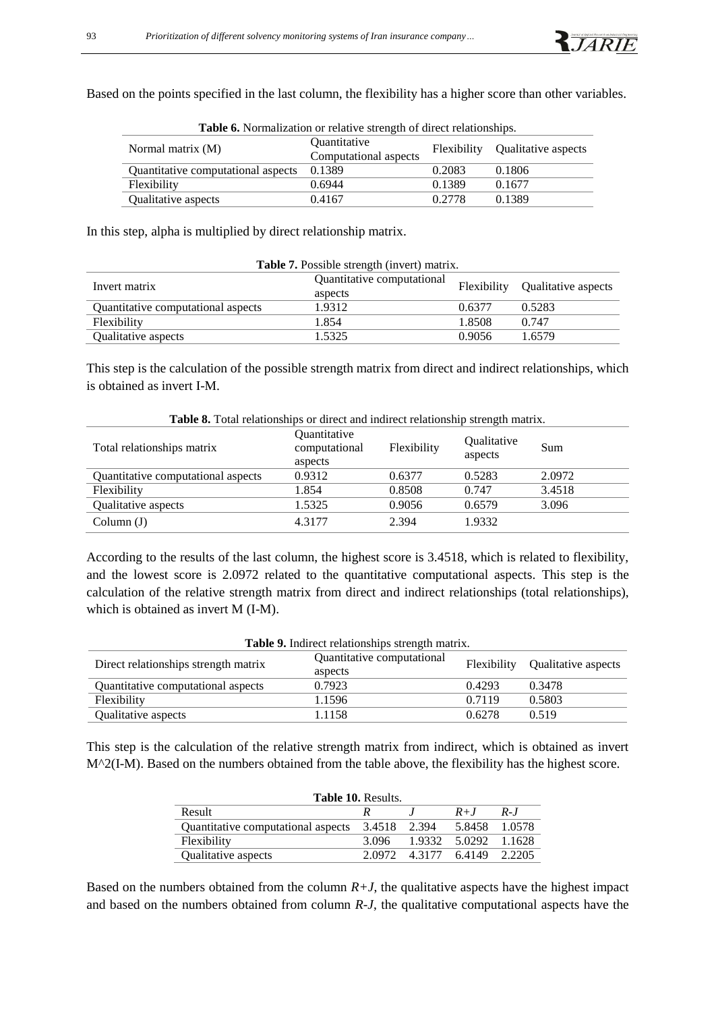Based on the points specified in the last column, the flexibility has a higher score than other variables.

| <b>Table 0.</b> Profinanzation of relative strength of uncerticiationships. |                                   |        |                                 |  |  |
|-----------------------------------------------------------------------------|-----------------------------------|--------|---------------------------------|--|--|
| Normal matrix (M)                                                           | <i><u><b>Ouantitative</b></u></i> |        | Flexibility Qualitative aspects |  |  |
|                                                                             | Computational aspects             |        |                                 |  |  |
| Quantitative computational aspects                                          | 0.1389                            | 0.2083 | 0.1806                          |  |  |
| Flexibility                                                                 | 0.6944                            | 0.1389 | 0.1677                          |  |  |
| Qualitative aspects                                                         | 0.4167                            | 0.2778 | 0.1389                          |  |  |

**Table 6.** Normalization or relative strength of direct relationships.

In this step, alpha is multiplied by direct relationship matrix.

| <b>Table 7.</b> Possible strength (invert) matrix. |                            |        |                                 |  |  |
|----------------------------------------------------|----------------------------|--------|---------------------------------|--|--|
| Invert matrix                                      | Quantitative computational |        | Flexibility Qualitative aspects |  |  |
|                                                    | aspects                    |        |                                 |  |  |
| Quantitative computational aspects                 | 1.9312                     | 0.6377 | 0.5283                          |  |  |
| Flexibility                                        | 1.854                      | 1.8508 | 0.747                           |  |  |
| Qualitative aspects                                | 1.5325                     | 0.9056 | 1.6579                          |  |  |

This step is the calculation of the possible strength matrix from direct and indirect relationships, which is obtained as invert I-M.

| <b>Table 8.</b> Total relationships or direct and indirect relationship strength matrix. |                                          |             |                        |        |  |  |
|------------------------------------------------------------------------------------------|------------------------------------------|-------------|------------------------|--------|--|--|
| Total relationships matrix                                                               | Quantitative<br>computational<br>aspects | Flexibility | Qualitative<br>aspects | Sum    |  |  |
| Quantitative computational aspects                                                       | 0.9312                                   | 0.6377      | 0.5283                 | 2.0972 |  |  |
| Flexibility                                                                              | 1.854                                    | 0.8508      | 0.747                  | 3.4518 |  |  |
| Qualitative aspects                                                                      | 1.5325                                   | 0.9056      | 0.6579                 | 3.096  |  |  |
| Column (J)                                                                               | 4.3177                                   | 2.394       | 1.9332                 |        |  |  |

According to the results of the last column, the highest score is 3.4518, which is related to flexibility, and the lowest score is 2.0972 related to the quantitative computational aspects. This step is the calculation of the relative strength matrix from direct and indirect relationships (total relationships), which is obtained as invert M (I-M).

| <b>Table 9.</b> Indirect relationships strength matrix. |                                       |        |                                 |  |  |  |
|---------------------------------------------------------|---------------------------------------|--------|---------------------------------|--|--|--|
| Direct relationships strength matrix                    | Quantitative computational<br>aspects |        | Flexibility Qualitative aspects |  |  |  |
| Quantitative computational aspects                      | 0.7923                                | 0.4293 | 0.3478                          |  |  |  |
| Flexibility                                             | 1.1596                                | 0.7119 | 0.5803                          |  |  |  |
| Qualitative aspects                                     | 1.1158                                | 0.6278 | 0.519                           |  |  |  |

This step is the calculation of the relative strength matrix from indirect, which is obtained as invert M^2(I-M). Based on the numbers obtained from the table above, the flexibility has the highest score.

| <b>Table 10. Results.</b>          |              |  |                             |         |  |  |
|------------------------------------|--------------|--|-----------------------------|---------|--|--|
| Result                             |              |  | $R+J$                       | $R - I$ |  |  |
| Quantitative computational aspects | 3.4518 2.394 |  | 5.8458                      | 1.0578  |  |  |
| Flexibility                        | 3.096        |  | 1.9332 5.0292 1.1628        |         |  |  |
| Qualitative aspects                |              |  | 2.0972 4.3177 6.4149 2.2205 |         |  |  |

Based on the numbers obtained from the column  $R+J$ , the qualitative aspects have the highest impact and based on the numbers obtained from column *R-J*, the qualitative computational aspects have the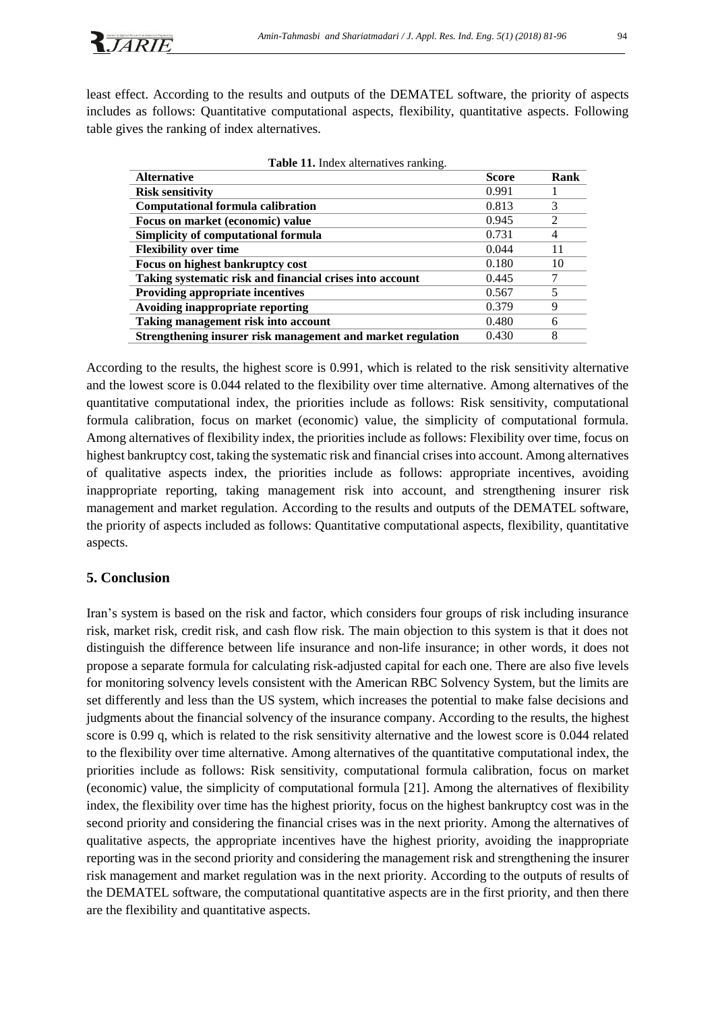least effect. According to the results and outputs of the DEMATEL software, the priority of aspects includes as follows: Quantitative computational aspects, flexibility, quantitative aspects. Following table gives the ranking of index alternatives.

| <b>Alternative</b>                                          | <b>Score</b> | Rank |
|-------------------------------------------------------------|--------------|------|
| <b>Risk sensitivity</b>                                     | 0.991        |      |
| <b>Computational formula calibration</b>                    | 0.813        | 3    |
| Focus on market (economic) value                            | 0.945        | 2    |
| Simplicity of computational formula                         | 0.731        | 4    |
| <b>Flexibility over time</b>                                | 0.044        | 11   |
| Focus on highest bankruptcy cost                            | 0.180        | 10   |
| Taking systematic risk and financial crises into account    | 0.445        |      |
| Providing appropriate incentives                            | 0.567        |      |
| Avoiding inappropriate reporting                            | 0.379        | 9    |
| Taking management risk into account                         | 0.480        | 6    |
| Strengthening insurer risk management and market regulation | 0.430        | 8    |

| Table 11. Index alternatives ranking. |  |
|---------------------------------------|--|
|---------------------------------------|--|

According to the results, the highest score is 0.991, which is related to the risk sensitivity alternative and the lowest score is 0.044 related to the flexibility over time alternative. Among alternatives of the quantitative computational index, the priorities include as follows: Risk sensitivity, computational formula calibration, focus on market (economic) value, the simplicity of computational formula. Among alternatives of flexibility index, the priorities include as follows: Flexibility over time, focus on highest bankruptcy cost, taking the systematic risk and financial crises into account. Among alternatives of qualitative aspects index, the priorities include as follows: appropriate incentives, avoiding inappropriate reporting, taking management risk into account, and strengthening insurer risk management and market regulation. According to the results and outputs of the DEMATEL software, the priority of aspects included as follows: Quantitative computational aspects, flexibility, quantitative aspects.

# **5. Conclusion**

Iran's system is based on the risk and factor, which considers four groups of risk including insurance risk, market risk, credit risk, and cash flow risk. The main objection to this system is that it does not distinguish the difference between life insurance and non-life insurance; in other words, it does not propose a separate formula for calculating risk-adjusted capital for each one. There are also five levels for monitoring solvency levels consistent with the American RBC Solvency System, but the limits are set differently and less than the US system, which increases the potential to make false decisions and judgments about the financial solvency of the insurance company. According to the results, the highest score is 0.99 q, which is related to the risk sensitivity alternative and the lowest score is 0.044 related to the flexibility over time alternative. Among alternatives of the quantitative computational index, the priorities include as follows: Risk sensitivity, computational formula calibration, focus on market (economic) value, the simplicity of computational formula [21]. Among the alternatives of flexibility index, the flexibility over time has the highest priority, focus on the highest bankruptcy cost was in the second priority and considering the financial crises was in the next priority. Among the alternatives of qualitative aspects, the appropriate incentives have the highest priority, avoiding the inappropriate reporting was in the second priority and considering the management risk and strengthening the insurer risk management and market regulation was in the next priority. According to the outputs of results of the DEMATEL software, the computational quantitative aspects are in the first priority, and then there are the flexibility and quantitative aspects.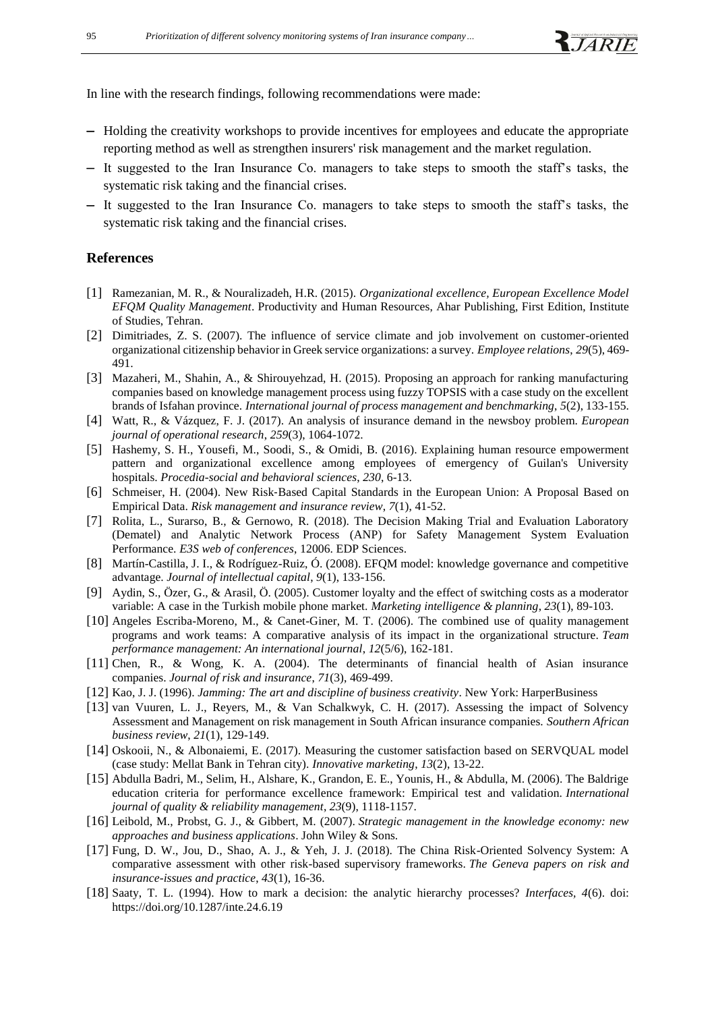In line with the research findings, following recommendations were made:

- Holding the creativity workshops to provide incentives for employees and educate the appropriate reporting method as well as strengthen insurers' risk management and the market regulation.
- It suggested to the Iran Insurance Co. managers to take steps to smooth the staff's tasks, the systematic risk taking and the financial crises.
- It suggested to the Iran Insurance Co. managers to take steps to smooth the staff's tasks, the systematic risk taking and the financial crises.

### **References**

- [1] Ramezanian, M. R., & Nouralizadeh, H.R. (2015). *Organizational excellence, European Excellence Model EFQM Quality Management*. Productivity and Human Resources, Ahar Publishing, First Edition, Institute of Studies, Tehran.
- [2] Dimitriades, Z. S. (2007). The influence of service climate and job involvement on customer-oriented organizational citizenship behavior in Greek service organizations: a survey. *Employee relations*, *29*(5), 469- 491.
- [3] Mazaheri, M., Shahin, A., & Shirouyehzad, H. (2015). Proposing an approach for ranking manufacturing companies based on knowledge management process using fuzzy TOPSIS with a case study on the excellent brands of Isfahan province. *International journal of process management and benchmarking*, *5*(2), 133-155.
- [4] Watt, R., & Vázquez, F. J. (2017). An analysis of insurance demand in the newsboy problem. *European journal of operational research*, *259*(3), 1064-1072.
- [5] Hashemy, S. H., Yousefi, M., Soodi, S., & Omidi, B. (2016). Explaining human resource empowerment pattern and organizational excellence among employees of emergency of Guilan's University hospitals. *Procedia-social and behavioral sciences*, *230*, 6-13.
- [6] Schmeiser, H. (2004). New Risk‐Based Capital Standards in the European Union: A Proposal Based on Empirical Data. *Risk management and insurance review*, *7*(1), 41-52.
- [7] Rolita, L., Surarso, B., & Gernowo, R. (2018). The Decision Making Trial and Evaluation Laboratory (Dematel) and Analytic Network Process (ANP) for Safety Management System Evaluation Performance. *E3S web of conferences*, 12006. EDP Sciences.
- [8] Martín-Castilla, J. I., & Rodríguez-Ruiz, Ó. (2008). EFQM model: knowledge governance and competitive advantage. *Journal of intellectual capital*, *9*(1), 133-156.
- [9] Aydin, S., Özer, G., & Arasil, Ö. (2005). Customer loyalty and the effect of switching costs as a moderator variable: A case in the Turkish mobile phone market. *Marketing intelligence & planning*, *23*(1), 89-103.
- [10] Angeles Escriba-Moreno, M., & Canet-Giner, M. T. (2006). The combined use of quality management programs and work teams: A comparative analysis of its impact in the organizational structure. *Team performance management: An international journal*, *12*(5/6), 162-181.
- [11] Chen, R., & Wong, K. A. (2004). The determinants of financial health of Asian insurance companies. *Journal of risk and insurance*, *71*(3), 469-499.
- [12] Kao, J. J. (1996). *Jamming: The art and discipline of business creativity*. New York: HarperBusiness
- [13] van Vuuren, L. J., Reyers, M., & Van Schalkwyk, C. H. (2017). Assessing the impact of Solvency Assessment and Management on risk management in South African insurance companies. *Southern African business review*, *21*(1), 129-149.
- [14] Oskooii, N., & Albonaiemi, E. (2017). Measuring the customer satisfaction based on SERVQUAL model (case study: Mellat Bank in Tehran city). *Innovative marketing*, *13*(2), 13-22.
- [15] Abdulla Badri, M., Selim, H., Alshare, K., Grandon, E. E., Younis, H., & Abdulla, M. (2006). The Baldrige education criteria for performance excellence framework: Empirical test and validation. *International journal of quality & reliability management*, *23*(9), 1118-1157.
- [16] Leibold, M., Probst, G. J., & Gibbert, M. (2007). *Strategic management in the knowledge economy: new approaches and business applications*. John Wiley & Sons.
- [17] Fung, D. W., Jou, D., Shao, A. J., & Yeh, J. J. (2018). The China Risk-Oriented Solvency System: A comparative assessment with other risk-based supervisory frameworks. *The Geneva papers on risk and insurance-issues and practice*, *43*(1), 16-36.
- [18] Saaty, T. L. (1994). How to mark a decision: the analytic hierarchy processes? *Interfaces, 4*(6). doi: <https://doi.org/10.1287/inte.24.6.19>